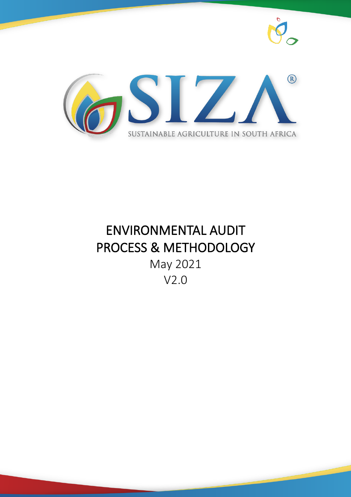



# ENVIRONMENTAL AUDIT PROCESS & METHODOLOGY May 2021 V2.0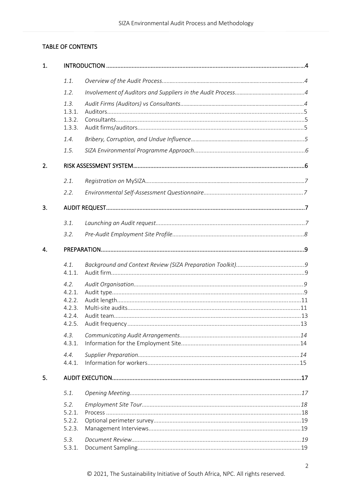# TABLE OF CONTENTS

| 1. |                                                        |  |  |  |  |
|----|--------------------------------------------------------|--|--|--|--|
|    | 1.1.                                                   |  |  |  |  |
|    | 1.2.                                                   |  |  |  |  |
|    | 1.3.<br>1.3.1.<br>1.3.2.<br>1.3.3.                     |  |  |  |  |
|    | 1.4.                                                   |  |  |  |  |
|    | 1.5.                                                   |  |  |  |  |
| 2. |                                                        |  |  |  |  |
|    | 2.1.                                                   |  |  |  |  |
|    | 2.2.                                                   |  |  |  |  |
| 3. |                                                        |  |  |  |  |
|    | 3.1.                                                   |  |  |  |  |
|    | 3.2.                                                   |  |  |  |  |
| 4. |                                                        |  |  |  |  |
|    | 4.1.<br>4.1.1.                                         |  |  |  |  |
|    | 4.2.<br>4.2.1.<br>4.2.2.<br>4.2.3.<br>4.2.4.<br>4.2.5. |  |  |  |  |
|    | 4.3.<br>4.3.1.                                         |  |  |  |  |
|    | 4.4.<br>4.4.1.                                         |  |  |  |  |
| 5. |                                                        |  |  |  |  |
|    | 5.1.                                                   |  |  |  |  |
|    | 5.2.<br>5.2.1.<br>5.2.2.<br>5.2.3.                     |  |  |  |  |
|    | 5.3.<br>5.3.1.                                         |  |  |  |  |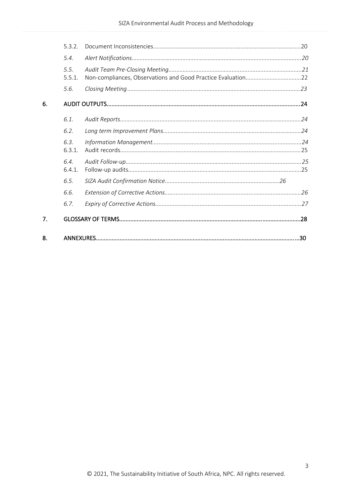|    | 5.3.2.         |                                                              |  |
|----|----------------|--------------------------------------------------------------|--|
|    | 5.4.           |                                                              |  |
|    | 5.5.<br>5.5.1. | Non-compliances, Observations and Good Practice Evaluation22 |  |
|    | 5.6.           |                                                              |  |
| 6. |                |                                                              |  |
|    | 6.1.           |                                                              |  |
|    | 6.2.           |                                                              |  |
|    | 6.3.<br>6.3.1. |                                                              |  |
|    | 6.4.<br>6.4.1. |                                                              |  |
|    | 6.5.           |                                                              |  |
|    | 6.6.           |                                                              |  |
|    | 6.7.           |                                                              |  |
| 7. |                |                                                              |  |
| 8. |                |                                                              |  |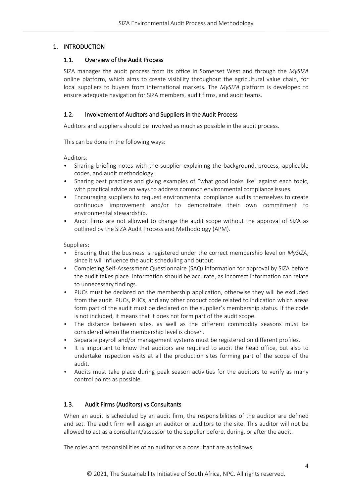# <span id="page-3-1"></span><span id="page-3-0"></span>1. INTRODUCTION

# 1.1. Overview of the Audit Process

SIZA manages the audit process from its office in Somerset West and through the *MySIZA* online platform, which aims to create visibility throughout the agricultural value chain, for local suppliers to buyers from international markets. The *MySIZA* platform is developed to ensure adequate navigation for SIZA members, audit firms, and audit teams.

## <span id="page-3-2"></span>1.2. Involvement of Auditors and Suppliers in the Audit Process

Auditors and suppliers should be involved as much as possible in the audit process.

This can be done in the following ways:

Auditors:

- Sharing briefing notes with the supplier explaining the background, process, applicable codes, and audit methodology.
- Sharing best practices and giving examples of "what good looks like" against each topic, with practical advice on ways to address common environmental compliance issues.
- Encouraging suppliers to request environmental compliance audits themselves to create continuous improvement and/or to demonstrate their own commitment to environmental stewardship.
- Audit firms are not allowed to change the audit scope without the approval of SIZA as outlined by the SIZA Audit Process and Methodology (APM).

Suppliers:

- Ensuring that the business is registered under the correct membership level on *MySIZA*, since it will influence the audit scheduling and output.
- Completing Self-Assessment Questionnaire (SAQ) information for approval by SIZA before the audit takes place. Information should be accurate, as incorrect information can relate to unnecessary findings.
- PUCs must be declared on the membership application, otherwise they will be excluded from the audit. PUCs, PHCs, and any other product code related to indication which areas form part of the audit must be declared on the supplier's membership status. If the code is not included, it means that it does not form part of the audit scope.
- The distance between sites, as well as the different commodity seasons must be considered when the membership level is chosen.
- Separate payroll and/or management systems must be registered on different profiles.
- It is important to know that auditors are required to audit the head office, but also to undertake inspection visits at all the production sites forming part of the scope of the audit.
- Audits must take place during peak season activities for the auditors to verify as many control points as possible.

# <span id="page-3-3"></span>1.3. Audit Firms (Auditors) vs Consultants

When an audit is scheduled by an audit firm, the responsibilities of the auditor are defined and set. The audit firm will assign an auditor or auditors to the site. This auditor will not be allowed to act as a consultant/assessor to the supplier before, during, or after the audit.

The roles and responsibilities of an auditor vs a consultant are as follows: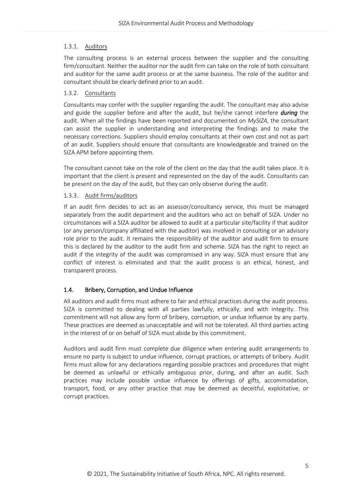#### <span id="page-4-0"></span>1.3.1. Auditors

The consulting process is an external process between the supplier and the consulting firm/consultant. Neither the auditor nor the audit firm can take on the role of both consultant and auditor for the same audit process or at the same business. The role of the auditor and consultant should be clearly defined prior to an audit.

## <span id="page-4-1"></span>1.3.2. Consultants

Consultants may confer with the supplier regarding the audit. The consultant may also advise and guide the supplier before and after the audit, but he/she cannot interfere *during* the audit. When all the findings have been reported and documented on *MySIZA*, the consultant can assist the supplier in understanding and interpreting the findings and to make the necessary corrections. Suppliers should employ consultants at their own cost and not as part of an audit. Suppliers should ensure that consultants are knowledgeable and trained on the SIZA APM before appointing them.

The consultant cannot take on the role of the client on the day that the audit takes place. It is important that the client is present and represented on the day of the audit. Consultants can be present on the day of the audit, but they can only observe during the audit.

## <span id="page-4-2"></span>1.3.3. Audit firms/auditors

If an audit firm decides to act as an assessor/consultancy service, this must be managed separately from the audit department and the auditors who act on behalf of SIZA. Under no circumstances will a SIZA auditor be allowed to audit at a particular site/facility if that auditor (or any person/company affiliated with the auditor) was involved in consulting or an advisory role prior to the audit. It remains the responsibility of the auditor and audit firm to ensure this is declared by the auditor to the audit firm and scheme. SIZA has the right to reject an audit if the integrity of the audit was compromised in any way. SIZA must ensure that any conflict of interest is eliminated and that the audit process is an ethical, honest, and transparent process.

# <span id="page-4-3"></span>1.4. Bribery, Corruption, and Undue Influence

All auditors and audit firms must adhere to fair and ethical practices during the audit process. SIZA is committed to dealing with all parties lawfully, ethically, and with integrity. This commitment will not allow any form of bribery, corruption, or undue influence by any party. These practices are deemed as unacceptable and will not be tolerated. All third parties acting in the interest of or on behalf of SIZA must abide by this commitment.

Auditors and audit firm must complete due diligence when entering audit arrangements to ensure no party is subject to undue influence, corrupt practices, or attempts of bribery. Audit firms must allow for any declarations regarding possible practices and procedures that might be deemed as unlawful or ethically ambiguous prior, during, and after an audit. Such practices may include possible undue influence by offerings of gifts, accommodation, transport, food, or any other practice that may be deemed as deceitful, exploitative, or corrupt practices.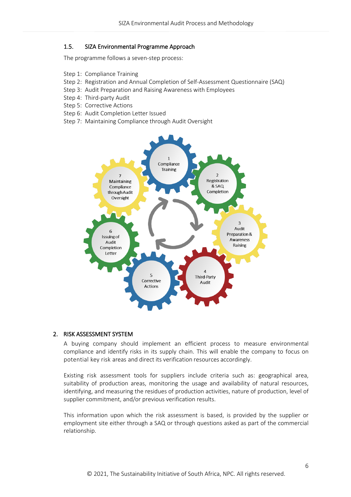#### <span id="page-5-0"></span>1.5. SIZA Environmental Programme Approach

The programme follows a seven-step process:

- Step 1: Compliance Training
- Step 2: Registration and Annual Completion of Self-Assessment Questionnaire (SAQ)
- Step 3: Audit Preparation and Raising Awareness with Employees
- Step 4: Third-party Audit
- Step 5: Corrective Actions
- Step 6: Audit Completion Letter Issued
- Step 7: Maintaining Compliance through Audit Oversight



#### <span id="page-5-1"></span>2. RISK ASSESSMENT SYSTEM

A buying company should implement an efficient process to measure environmental compliance and identify risks in its supply chain. This will enable the company to focus on potential key risk areas and direct its verification resources accordingly.

Existing risk assessment tools for suppliers include criteria such as: geographical area, suitability of production areas, monitoring the usage and availability of natural resources, identifying, and measuring the residues of production activities, nature of production, level of supplier commitment, and/or previous verification results.

This information upon which the risk assessment is based, is provided by the supplier or employment site either through a SAQ or through questions asked as part of the commercial relationship.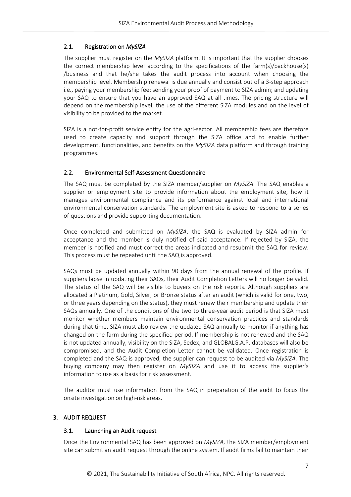# <span id="page-6-0"></span>2.1. Registration on *MySIZA*

The supplier must register on the *MySIZA* platform. It is important that the supplier chooses the correct membership level according to the specifications of the farm(s)/packhouse(s) /business and that he/she takes the audit process into account when choosing the membership level. Membership renewal is due annually and consist out of a 3-step approach i.e., paying your membership fee; sending your proof of payment to SIZA admin; and updating your SAQ to ensure that you have an approved SAQ at all times. The pricing structure will depend on the membership level, the use of the different SIZA modules and on the level of visibility to be provided to the market.

SIZA is a not-for-profit service entity for the agri-sector. All membership fees are therefore used to create capacity and support through the SIZA office and to enable further development, functionalities, and benefits on the *MySIZA* data platform and through training programmes.

# <span id="page-6-1"></span>2.2. Environmental Self‐Assessment Questionnaire

The SAQ must be completed by the SIZA member/supplier on *MySIZA*. The SAQ enables a supplier or employment site to provide information about the employment site, how it manages environmental compliance and its performance against local and international environmental conservation standards. The employment site is asked to respond to a series of questions and provide supporting documentation.

Once completed and submitted on *MySIZA*, the SAQ is evaluated by SIZA admin for acceptance and the member is duly notified of said acceptance. If rejected by SIZA, the member is notified and must correct the areas indicated and resubmit the SAQ for review. This process must be repeated until the SAQ is approved.

SAQs must be updated annually within 90 days from the annual renewal of the profile. If suppliers lapse in updating their SAQs, their Audit Completion Letters will no longer be valid. The status of the SAQ will be visible to buyers on the risk reports. Although suppliers are allocated a Platinum, Gold, Silver, or Bronze status after an audit (which is valid for one, two, or three years depending on the status), they must renew their membership and update their SAQs annually. One of the conditions of the two to three-year audit period is that SIZA must monitor whether members maintain environmental conservation practices and standards during that time. SIZA must also review the updated SAQ annually to monitor if anything has changed on the farm during the specified period. If membership is not renewed and the SAQ is not updated annually, visibility on the SIZA, Sedex, and GLOBALG.A.P. databases will also be compromised, and the Audit Completion Letter cannot be validated. Once registration is completed and the SAQ is approved, the supplier can request to be audited via *MySIZA*. The buying company may then register on *MySIZA* and use it to access the supplier's information to use as a basis for risk assessment.

The auditor must use information from the SAQ in preparation of the audit to focus the onsite investigation on high-risk areas.

# <span id="page-6-3"></span><span id="page-6-2"></span>3. AUDIT REQUEST

# 3.1. Launching an Audit request

Once the Environmental SAQ has been approved on *MySIZA*, the SIZA member/employment site can submit an audit request through the online system. If audit firms fail to maintain their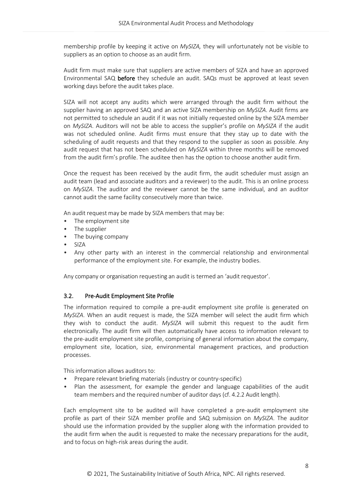membership profile by keeping it active on *MySIZA,* they will unfortunately not be visible to suppliers as an option to choose as an audit firm.

Audit firm must make sure that suppliers are active members of SIZA and have an approved Environmental SAQ before they schedule an audit. SAQs must be approved at least seven working days before the audit takes place.

SIZA will not accept any audits which were arranged through the audit firm without the supplier having an approved SAQ and an active SIZA membership on *MySIZA*. Audit firms are not permitted to schedule an audit if it was not initially requested online by the SIZA member on *MySIZA*. Auditors will not be able to access the supplier's profile on *MySIZA* if the audit was not scheduled online. Audit firms must ensure that they stay up to date with the scheduling of audit requests and that they respond to the supplier as soon as possible. Any audit request that has not been scheduled on *MySIZA* within three months will be removed from the audit firm's profile. The auditee then has the option to choose another audit firm.

Once the request has been received by the audit firm, the audit scheduler must assign an audit team (lead and associate auditors and a reviewer) to the audit. This is an online process on *MySIZA*. The auditor and the reviewer cannot be the same individual, and an auditor cannot audit the same facility consecutively more than twice.

An audit request may be made by SIZA members that may be:

- The employment site
- The supplier
- The buying company
- SIZA
- Any other party with an interest in the commercial relationship and environmental performance of the employment site. For example, the industry bodies.

Any company or organisation requesting an audit is termed an 'audit requestor'.

#### <span id="page-7-0"></span>3.2. Pre‐Audit Employment Site Profile

The information required to compile a pre-audit employment site profile is generated on *MySIZA*. When an audit request is made, the SIZA member will select the audit firm which they wish to conduct the audit. *MySIZA* will submit this request to the audit firm electronically. The audit firm will then automatically have access to information relevant to the pre-audit employment site profile, comprising of general information about the company, employment site, location, size, environmental management practices, and production processes.

This information allows auditors to:

- Prepare relevant briefing materials (industry or country-specific)
- Plan the assessment, for example the gender and language capabilities of the audit team members and the required number of auditor days (cf. 4.2.2 Audit length).

Each employment site to be audited will have completed a pre‐audit employment site profile as part of their SIZA member profile and SAQ submission on *MySIZA*. The auditor should use the information provided by the supplier along with the information provided to the audit firm when the audit is requested to make the necessary preparations for the audit, and to focus on high-risk areas during the audit.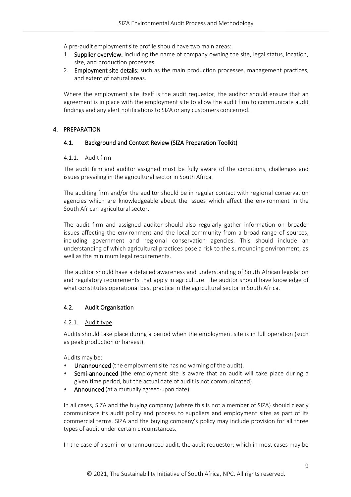A pre-audit employment site profile should have two main areas:

- 1. Supplier overview: including the name of company owning the site, legal status, location, size, and production processes.
- 2. Employment site details: such as the main production processes, management practices, and extent of natural areas.

Where the employment site itself is the audit requestor, the auditor should ensure that an agreement is in place with the employment site to allow the audit firm to communicate audit findings and any alert notifications to SIZA or any customers concerned.

# <span id="page-8-1"></span><span id="page-8-0"></span>4. PREPARATION

# 4.1. Background and Context Review (SIZA Preparation Toolkit)

# <span id="page-8-2"></span>4.1.1. Audit firm

The audit firm and auditor assigned must be fully aware of the conditions, challenges and issues prevailing in the agricultural sector in South Africa.

The auditing firm and/or the auditor should be in regular contact with regional conservation agencies which are knowledgeable about the issues which affect the environment in the South African agricultural sector.

The audit firm and assigned auditor should also regularly gather information on broader issues affecting the environment and the local community from a broad range of sources, including government and regional conservation agencies. This should include an understanding of which agricultural practices pose a risk to the surrounding environment, as well as the minimum legal requirements.

The auditor should have a detailed awareness and understanding of South African legislation and regulatory requirements that apply in agriculture. The auditor should have knowledge of what constitutes operational best practice in the agricultural sector in South Africa.

# <span id="page-8-3"></span>4.2. Audit Organisation

#### <span id="page-8-4"></span>4.2.1. Audit type

Audits should take place during a period when the employment site is in full operation (such as peak production or harvest).

Audits may be:

- Unannounced (the employment site has no warning of the audit).
- Semi-announced (the employment site is aware that an audit will take place during a given time period, but the actual date of audit is not communicated).
- Announced (at a mutually agreed-upon date).

In all cases, SIZA and the buying company (where this is not a member of SIZA) should clearly communicate its audit policy and process to suppliers and employment sites as part of its commercial terms. SIZA and the buying company's policy may include provision for all three types of audit under certain circumstances.

In the case of a semi- or unannounced audit, the audit requestor; which in most cases may be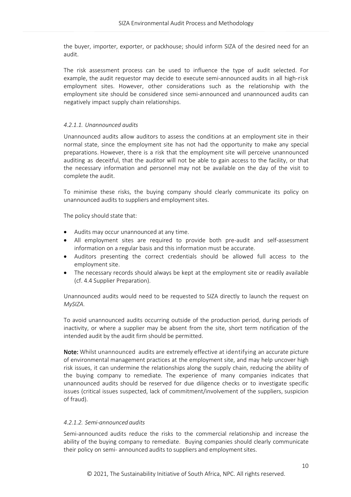the buyer, importer, exporter, or packhouse; should inform SIZA of the desired need for an audit.

The risk assessment process can be used to influence the type of audit selected. For example, the audit requestor may decide to execute semi‐announced audits in all high-risk employment sites. However, other considerations such as the relationship with the employment site should be considered since semi‐announced and unannounced audits can negatively impact supply chain relationships.

## *4.2.1.1. Unannounced audits*

Unannounced audits allow auditors to assess the conditions at an employment site in their normal state, since the employment site has not had the opportunity to make any special preparations. However, there is a risk that the employment site will perceive unannounced auditing as deceitful, that the auditor will not be able to gain access to the facility, or that the necessary information and personnel may not be available on the day of the visit to complete the audit.

To minimise these risks, the buying company should clearly communicate its policy on unannounced audits to suppliers and employment sites.

The policy should state that:

- Audits may occur unannounced at any time.
- All employment sites are required to provide both pre-audit and self-assessment information on a regular basis and this information must be accurate.
- Auditors presenting the correct credentials should be allowed full access to the employment site.
- The necessary records should always be kept at the employment site or readily available (cf. 4.4 Supplier Preparation).

Unannounced audits would need to be requested to SIZA directly to launch the request on *MySIZA*.

To avoid unannounced audits occurring outside of the production period, during periods of inactivity, or where a supplier may be absent from the site, short term notification of the intended audit by the audit firm should be permitted.

Note: Whilst unannounced audits are extremely effective at identifying an accurate picture of environmental management practices at the employment site, and may help uncover high risk issues, it can undermine the relationships along the supply chain, reducing the ability of the buying company to remediate. The experience of many companies indicates that unannounced audits should be reserved for due diligence checks or to investigate specific issues (critical issues suspected, lack of commitment/involvement of the suppliers, suspicion of fraud).

# *4.2.1.2. Semi‐announced audits*

Semi‐announced audits reduce the risks to the commercial relationship and increase the ability of the buying company to remediate. Buying companies should clearly communicate their policy on semi- announced audits to suppliers and employment sites.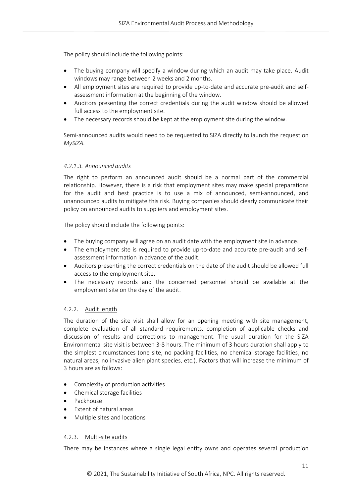The policy should include the following points:

- The buying company will specify a window during which an audit may take place. Audit windows may range between 2 weeks and 2 months.
- All employment sites are required to provide up-to-date and accurate pre-audit and selfassessment information at the beginning of the window.
- Auditors presenting the correct credentials during the audit window should be allowed full access to the employment site.
- The necessary records should be kept at the employment site during the window.

Semi-announced audits would need to be requested to SIZA directly to launch the request on *MySIZA*.

# *4.2.1.3. Announced audits*

The right to perform an announced audit should be a normal part of the commercial relationship. However, there is a risk that employment sites may make special preparations for the audit and best practice is to use a mix of announced, semi-announced, and unannounced audits to mitigate this risk. Buying companies should clearly communicate their policy on announced audits to suppliers and employment sites.

The policy should include the following points:

- The buying company will agree on an audit date with the employment site in advance.
- The employment site is required to provide up-to-date and accurate pre-audit and selfassessment information in advance of the audit.
- Auditors presenting the correct credentials on the date of the audit should be allowed full access to the employment site.
- The necessary records and the concerned personnel should be available at the employment site on the day of the audit.

# <span id="page-10-0"></span>4.2.2. Audit length

The duration of the site visit shall allow for an opening meeting with site management, complete evaluation of all standard requirements, completion of applicable checks and discussion of results and corrections to management. The usual duration for the SIZA Environmental site visit is between 3-8 hours. The minimum of 3 hours duration shall apply to the simplest circumstances (one site, no packing facilities, no chemical storage facilities, no natural areas, no invasive alien plant species, etc.). Factors that will increase the minimum of 3 hours are as follows:

- Complexity of production activities
- Chemical storage facilities
- Packhouse
- Extent of natural areas
- Multiple sites and locations

#### <span id="page-10-1"></span>4.2.3. Multi-site audits

There may be instances where a single legal entity owns and operates several production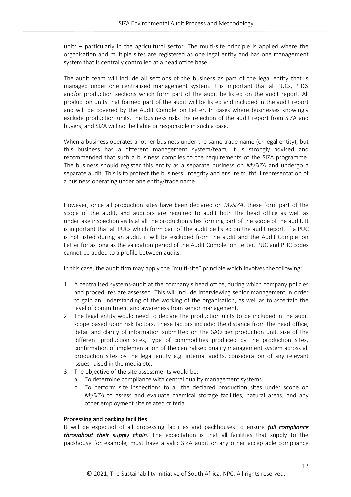units – particularly in the agricultural sector. The multi-site principle is applied where the organisation and multiple sites are registered as one legal entity and has one management system that is centrally controlled at a head office base.

The audit team will include all sections of the business as part of the legal entity that is managed under one centralised management system. It is important that all PUCs, PHCs and/or production sections which form part of the audit be listed on the audit report. All production units that formed part of the audit will be listed and included in the audit report and will be covered by the Audit Completion Letter. In cases where businesses knowingly exclude production units, the business risks the rejection of the audit report from SIZA and buyers, and SIZA will not be liable or responsible in such a case.

When a business operates another business under the same trade name (or legal entity), but this business has a different management system/team, it is strongly advised and recommended that such a business complies to the requirements of the SIZA programme. The business should register this entity as a separate business on *MySIZA* and undergo a separate audit. This is to protect the business' integrity and ensure truthful representation of a business operating under one entity/trade name.

However, once all production sites have been declared on *MySIZA*, these form part of the scope of the audit, and auditors are required to audit both the head office as well as undertake inspection visits at all the production sites forming part of the scope of the audit. It is important that all PUCs which form part of the audit be listed on the audit report. If a PUC is not listed during an audit, it will be excluded from the audit and the Audit Completion Letter for as long as the validation period of the Audit Completion Letter. PUC and PHC codes cannot be added to a profile between audits.

In this case, the audit firm may apply the "multi-site" principle which involves the following:

- 1. A centralised systems-audit at the company's head office, during which company policies and procedures are assessed. This will include interviewing senior management in order to gain an understanding of the working of the organisation, as well as to ascertain the level of commitment and awareness from senior management.
- 2. The legal entity would need to declare the production units to be included in the audit scope based upon risk factors. These factors include: the distance from the head office, detail and clarity of information submitted on the SAQ per production unit, size of the different production sites, type of commodities produced by the production sites, confirmation of implementation of the centralised quality management system across all production sites by the legal entity e.g. internal audits, consideration of any relevant issues raised in the media etc.
- 3. The objective of the site assessments would be:
	- a. To determine compliance with central quality management systems.
	- b. To perform site inspections to all the declared production sites under scope on *MySIZA* to assess and evaluate chemical storage facilities, natural areas, and any other employment site related criteria.

#### Processing and packing facilities

It will be expected of all processing facilities and packhouses to ensure *full compliance throughout their supply chain*. The expectation is that all facilities that supply to the packhouse for example, must have a valid SIZA audit or any other acceptable compliance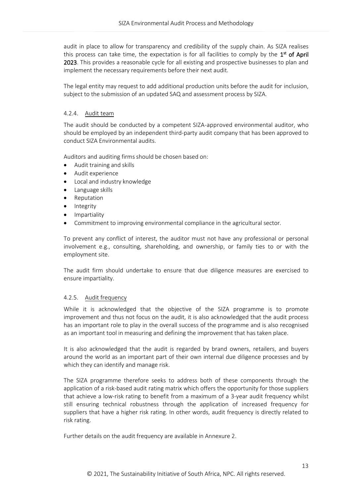audit in place to allow for transparency and credibility of the supply chain. As SIZA realises this process can take time, the expectation is for all facilities to comply by the  $1^{\text{st}}$  of April 2023. This provides a reasonable cycle for all existing and prospective businesses to plan and implement the necessary requirements before their next audit.

The legal entity may request to add additional production units before the audit for inclusion, subject to the submission of an updated SAQ and assessment process by SIZA.

## <span id="page-12-0"></span>4.2.4. Audit team

The audit should be conducted by a competent SIZA-approved environmental auditor, who should be employed by an independent third-party audit company that has been approved to conduct SIZA Environmental audits.

Auditors and auditing firms should be chosen based on:

- Audit training and skills
- Audit experience
- Local and industry knowledge
- Language skills
- **Reputation**
- **Integrity**
- Impartiality
- Commitment to improving environmental compliance in the agricultural sector.

To prevent any conflict of interest, the auditor must not have any professional or personal involvement e.g., consulting, shareholding, and ownership, or family ties to or with the employment site.

The audit firm should undertake to ensure that due diligence measures are exercised to ensure impartiality.

#### <span id="page-12-1"></span>4.2.5. Audit frequency

While it is acknowledged that the objective of the SIZA programme is to promote improvement and thus not focus on the audit, it is also acknowledged that the audit process has an important role to play in the overall success of the programme and is also recognised as an important tool in measuring and defining the improvement that has taken place.

It is also acknowledged that the audit is regarded by brand owners, retailers, and buyers around the world as an important part of their own internal due diligence processes and by which they can identify and manage risk.

The SIZA programme therefore seeks to address both of these components through the application of a risk-based audit rating matrix which offers the opportunity for those suppliers that achieve a low-risk rating to benefit from a maximum of a 3-year audit frequency whilst still ensuring technical robustness through the application of increased frequency for suppliers that have a higher risk rating. In other words, audit frequency is directly related to risk rating.

Further details on the audit frequency are available in Annexure 2.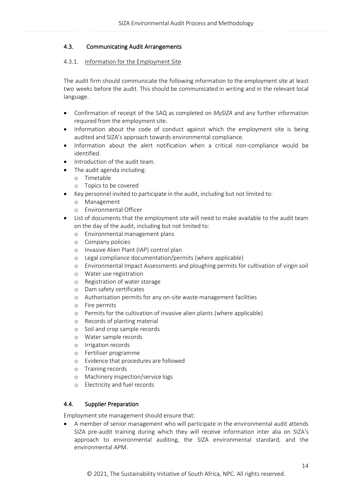# <span id="page-13-0"></span>4.3. Communicating Audit Arrangements

## <span id="page-13-1"></span>4.3.1. Information for the Employment Site

The audit firm should communicate the following information to the employment site at least two weeks before the audit. This should be communicated in writing and in the relevant local language.

- Confirmation of receipt of the SAQ as completed on *MySIZA* and any further information required from the employment site.
- Information about the code of conduct against which the employment site is being audited and SIZA's approach towards environmental compliance.
- Information about the alert notification when a critical non-compliance would be identified.
- Introduction of the audit team.
- The audit agenda including:
	- o Timetable
	- o Topics to be covered
- Key personnel invited to participate in the audit, including but not limited to:
	- o Management
	- o Environmental Officer
- List of documents that the employment site will need to make available to the audit team on the day of the audit, including but not limited to:
	- o Environmental management plans
	- o Company policies
	- o Invasive Alien Plant (IAP) control plan
	- o Legal compliance documentation/permits (where applicable)
	- o Environmental Impact Assessments and ploughing permits for cultivation of virgin soil
	- o Water use registration
	- o Registration of water storage
	- o Dam safety certificates
	- o Authorisation permits for any on-site waste management facilities
	- o Fire permits
	- o Permits for the cultivation of invasive alien plants (where applicable)
	- o Records of planting material
	- o Soil and crop sample records
	- o Water sample records
	- o Irrigation records
	- o Fertiliser programme
	- o Evidence that procedures are followed
	- o Training records
	- o Machinery inspection/service logs
	- o Electricity and fuel records

# <span id="page-13-2"></span>4.4. Supplier Preparation

Employment site management should ensure that:

• A member of senior management who will participate in the environmental audit attends SIZA pre-audit training during which they will receive information inter alia on SIZA's approach to environmental auditing, the SIZA environmental standard, and the environmental APM.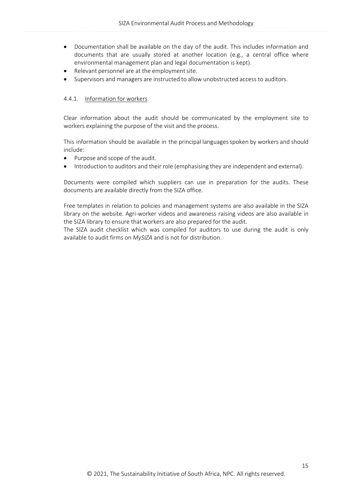- Documentation shall be available on the day of the audit. This includes information and documents that are usually stored at another location (e.g., a central office where environmental management plan and legal documentation is kept).
- Relevant personnel are at the employment site.
- Supervisors and managers are instructed to allow unobstructed access to auditors.

#### <span id="page-14-0"></span>4.4.1. Information for workers

Clear information about the audit should be communicated by the employment site to workers explaining the purpose of the visit and the process.

This information should be available in the principal languagesspoken by workers and should include:

- Purpose and scope of the audit.
- Introduction to auditors and their role (emphasising they are independent and external).

Documents were compiled which suppliers can use in preparation for the audits. These documents are available directly from the SIZA office.

Free templates in relation to policies and management systems are also available in the SIZA library on the website. Agri-worker videos and awareness raising videos are also available in the SIZA library to ensure that workers are also prepared for the audit.

The SIZA audit checklist which was compiled for auditors to use during the audit is only available to audit firms on *MySIZA* and is not for distribution.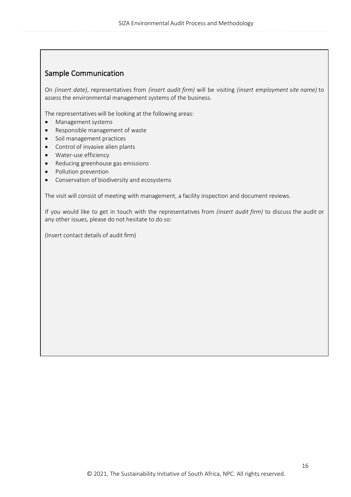# Sample Communication

On *(insert date)*, representatives from *(insert audit firm)* will be visiting *(insert employment site name)* to assess the environmental management systems of the business.

The representatives will be looking at the following areas:

- Management systems
- Responsible management of waste
- Soil management practices
- Control of invasive alien plants
- Water-use efficiency
- Reducing greenhouse gas emissions
- Pollution prevention
- Conservation of biodiversity and ecosystems

The visit will consist of meeting with management, a facility inspection and document reviews.

If you would like to get in touch with the representatives from *(insert audit firm)* to discuss the audit or any other issues, please do not hesitate to do so:

(Insert contact details of audit firm)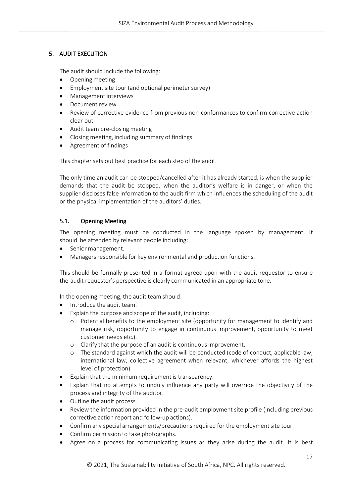# <span id="page-16-0"></span>5. AUDIT EXECUTION

The audit should include the following:

- Opening meeting
- Employment site tour (and optional perimeter survey)
- Management interviews
- Document review
- Review of corrective evidence from previous non-conformances to confirm corrective action clear out
- Audit team pre‐closing meeting
- Closing meeting, including summary of findings
- Agreement of findings

This chapter sets out best practice for each step of the audit.

The only time an audit can be stopped/cancelled after it has already started, is when the supplier demands that the audit be stopped, when the auditor's welfare is in danger, or when the supplier discloses false information to the audit firm which influences the scheduling of the audit or the physical implementation of the auditors' duties.

# <span id="page-16-1"></span>5.1. Opening Meeting

The opening meeting must be conducted in the language spoken by management. It should be attended by relevant people including:

- Senior management.
- Managers responsible for key environmental and production functions.

This should be formally presented in a format agreed upon with the audit requestor to ensure the audit requestor's perspective is clearly communicated in an appropriate tone.

In the opening meeting, the audit team should:

- Introduce the audit team.
- Explain the purpose and scope of the audit, including:
	- o Potential benefits to the employment site (opportunity for management to identify and manage risk, opportunity to engage in continuous improvement, opportunity to meet customer needs etc.).
	- o Clarify that the purpose of an audit is continuous improvement.
	- o The standard against which the audit will be conducted (code of conduct, applicable law, international law, collective agreement when relevant, whichever affords the highest level of protection).
- Explain that the minimum requirement is transparency.
- Explain that no attempts to unduly influence any party will override the objectivity of the process and integrity of the auditor.
- Outline the audit process.
- Review the information provided in the pre‐audit employment site profile (including previous corrective action report and follow‐up actions).
- Confirm any special arrangements/precautions required for the employment site tour.
- Confirm permission to take photographs.
- Agree on a process for communicating issues as they arise during the audit. It is best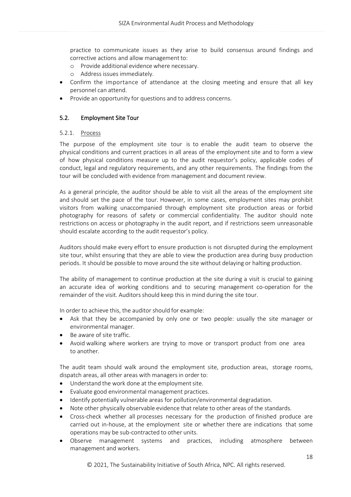practice to communicate issues as they arise to build consensus around findings and corrective actions and allow management to:

- o Provide additional evidence where necessary.
- o Address issues immediately.
- Confirm the importance of attendance at the closing meeting and ensure that all key personnel can attend.
- Provide an opportunity for questions and to address concerns.

## <span id="page-17-0"></span>5.2. Employment Site Tour

## <span id="page-17-1"></span>5.2.1. Process

The purpose of the employment site tour is to enable the audit team to observe the physical conditions and current practices in all areas of the employment site and to form a view of how physical conditions measure up to the audit requestor's policy, applicable codes of conduct, legal and regulatory requirements, and any other requirements. The findings from the tour will be concluded with evidence from management and document review.

As a general principle, the auditor should be able to visit all the areas of the employment site and should set the pace of the tour. However, in some cases, employment sites may prohibit visitors from walking unaccompanied through employment site production areas or forbid photography for reasons of safety or commercial confidentiality. The auditor should note restrictions on access or photography in the audit report, and if restrictions seem unreasonable should escalate according to the audit requestor's policy.

Auditors should make every effort to ensure production is not disrupted during the employment site tour, whilst ensuring that they are able to view the production area during busy production periods. It should be possible to move around the site without delaying or halting production.

The ability of management to continue production at the site during a visit is crucial to gaining an accurate idea of working conditions and to securing management co-operation for the remainder of the visit. Auditors should keep this in mind during the site tour.

In order to achieve this, the auditor should for example:

- Ask that they be accompanied by only one or two people: usually the site manager or environmental manager.
- Be aware of site traffic.
- Avoid walking where workers are trying to move or transport product from one area to another.

The audit team should walk around the employment site, production areas, storage rooms, dispatch areas, all other areas with managers in order to:

- Understand the work done at the employment site.
- Evaluate good environmental management practices.
- Identify potentially vulnerable areas for pollution/environmental degradation.
- Note other physically observable evidence that relate to other areas of the standards.
- Cross‐check whether all processes necessary for the production of finished produce are carried out in‐house, at the employment site or whether there are indications that some operations may be sub‐contracted to other units.
- Observe management systems and practices, including atmosphere between management and workers.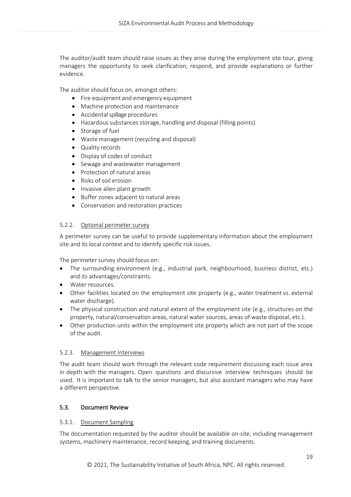The auditor/audit team should raise issues as they arise during the employment site tour, giving managers the opportunity to seek clarification, respond, and provide explanations or further evidence.

The auditor should focus on, amongst others:

- Fire equipment and emergency equipment
- Machine protection and maintenance
- Accidental spillage procedures
- Hazardous substances storage, handling and disposal (filling points)
- Storage of fuel
- Waste management (recycling and disposal)
- Quality records
- Display of codes of conduct
- Sewage and wastewater management
- Protection of natural areas
- Risks of soil erosion
- Invasive alien plant growth
- Buffer zones adjacent to natural areas
- Conservation and restoration practices

## <span id="page-18-0"></span>5.2.2. Optional perimeter survey

A perimeter survey can be useful to provide supplementary information about the employment site and its local context and to identify specific risk issues.

The perimeter survey should focus on:

- The surrounding environment (e.g., industrial park, neighbourhood, business district, etc.) and its advantages/constraints.
- Water resources.
- Other facilities located on the employment site property (e.g., water treatment vs. external water discharge).
- The physical construction and natural extent of the employment site (e.g., structures on the property, natural/conservation areas, natural water sources, areas of waste disposal, etc.).
- Other production units within the employment site property which are not part of the scope of the audit.

#### <span id="page-18-1"></span>5.2.3. Management Interviews

The audit team should work through the relevant code requirement discussing each issue area in depth with the managers. Open questions and discursive interview techniques should be used. It is important to talk to the senior managers, but also assistant managers who may have a different perspective.

#### <span id="page-18-2"></span>5.3. Document Review

#### <span id="page-18-3"></span>5.3.1. Document Sampling

The documentation requested by the auditor should be available on-site, including management systems, machinery maintenance, record keeping, and training documents.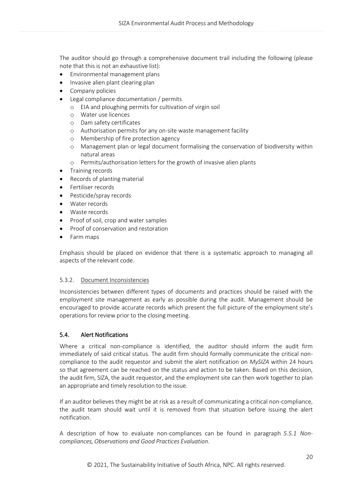The auditor should go through a comprehensive document trail including the following (please note that this is not an exhaustive list):

- Environmental management plans
- Invasive alien plant clearing plan
- Company policies
- Legal compliance documentation / permits
	- o EIA and ploughing permits for cultivation of virgin soil
	- o Water use licences
	- o Dam safety certificates
	- o Authorisation permits for any on-site waste management facility
	- o Membership of fire protection agency
	- o Management plan or legal document formalising the conservation of biodiversity within natural areas
	- o Permits/authorisation letters for the growth of invasive alien plants
- Training records
- Records of planting material
- Fertiliser records
- Pesticide/spray records
- Water records
- Waste records
- Proof of soil, crop and water samples
- Proof of conservation and restoration
- Farm maps

Emphasis should be placed on evidence that there is a systematic approach to managing all aspects of the relevant code.

# <span id="page-19-0"></span>5.3.2. Document Inconsistencies

Inconsistencies between different types of documents and practices should be raised with the employment site management as early as possible during the audit. Management should be encouraged to provide accurate records which present the full picture of the employment site's operations for review prior to the closing meeting.

# <span id="page-19-1"></span>5.4. Alert Notifications

Where a critical non-compliance is identified, the auditor should inform the audit firm immediately of said critical status. The audit firm should formally communicate the critical noncompliance to the audit requestor and submit the alert notification on *MySIZA* within 24 hours so that agreement can be reached on the status and action to be taken. Based on this decision, the audit firm, SIZA, the audit requestor, and the employmentsite can then work together to plan an appropriate and timely resolution to the issue.

If an auditor believes they might be at risk as a result of communicating a critical non‐compliance, the audit team should wait until it is removed from that situation before issuing the alert notification.

A description of how to evaluate non‐compliances can be found in paragraph *5.5.1 Noncompliances, Observations and Good Practices Evaluation*.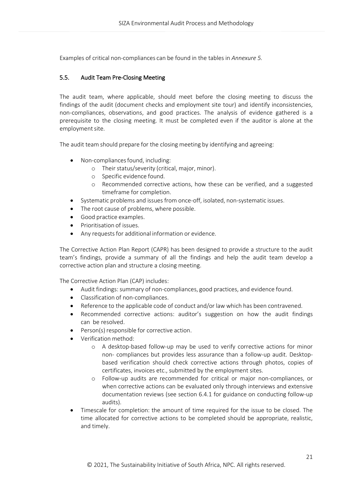Examples of critical non‐compliances can be found in the tables in *Annexure 5.*

# <span id="page-20-0"></span>5.5. Audit Team Pre‐Closing Meeting

The audit team, where applicable, should meet before the closing meeting to discuss the findings of the audit (document checks and employment site tour) and identify inconsistencies, non‐compliances, observations, and good practices. The analysis of evidence gathered is a prerequisite to the closing meeting. It must be completed even if the auditor is alone at the employment site.

The audit team should prepare for the closing meeting by identifying and agreeing:

- Non-compliances found, including:
	- o Their status/severity (critical, major, minor).
	- o Specific evidence found.
	- o Recommended corrective actions, how these can be verified, and a suggested timeframe for completion.
- Systematic problems and issues from once‐off, isolated, non‐systematic issues.
- The root cause of problems, where possible.
- Good practice examples.
- Prioritisation of issues.
- Any requests for additional information or evidence.

The Corrective Action Plan Report (CAPR) has been designed to provide a structure to the audit team's findings, provide a summary of all the findings and help the audit team develop a corrective action plan and structure a closing meeting.

The Corrective Action Plan (CAP) includes:

- Audit findings: summary of non-compliances, good practices, and evidence found.
- Classification of non-compliances.
- Reference to the applicable code of conduct and/or law which has been contravened.
- Recommended corrective actions: auditor's suggestion on how the audit findings can be resolved.
- Person(s) responsible for corrective action.
- Verification method:
	- o A desktop-based follow-up may be used to verify corrective actions for minor non- compliances but provides less assurance than a follow-up audit. Desktopbased verification should check corrective actions through photos, copies of certificates, invoices etc., submitted by the employment sites.
	- o Follow‐up audits are recommended for critical or major non‐compliances, or when corrective actions can be evaluated only through interviews and extensive documentation reviews (see section 6.4.1 for guidance on conducting follow‐up audits).
- Timescale for completion: the amount of time required for the issue to be closed. The time allocated for corrective actions to be completed should be appropriate, realistic, and timely.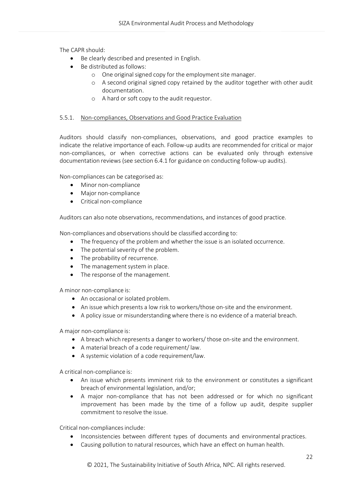The CAPR should:

- Be clearly described and presented in English.
- Be distributed as follows:
	- o One original signed copy for the employment site manager.
	- o A second original signed copy retained by the auditor together with other audit documentation.
	- o A hard or soft copy to the audit requestor.

#### <span id="page-21-0"></span>5.5.1. Non-compliances, Observations and Good Practice Evaluation

Auditors should classify non‐compliances, observations, and good practice examples to indicate the relative importance of each. Follow‐up audits are recommended for critical or major non‐compliances, or when corrective actions can be evaluated only through extensive documentation reviews (see section 6.4.1 for guidance on conducting follow-up audits).

Non‐compliances can be categorised as:

- Minor non‐compliance
- Major non‐compliance
- Critical non‐compliance

Auditors can also note observations, recommendations, and instances of good practice.

Non-compliances and observations should be classified according to:

- The frequency of the problem and whether the issue is an isolated occurrence.
- The potential severity of the problem.
- The probability of recurrence.
- The management system in place.
- The response of the management.

A minor non‐compliance is:

- An occasional or isolated problem.
- An issue which presents a low risk to workers/those on-site and the environment.
- A policy issue or misunderstandingwhere there is no evidence of a material breach.

A major non‐compliance is:

- A breach which represents a danger to workers/ those on‐site and the environment.
- A material breach of a code requirement/ law.
- A systemic violation of a code requirement/law.

A critical non‐compliance is:

- An issue which presents imminent risk to the environment or constitutes a significant breach of environmental legislation, and/or;
- A major non‐compliance that has not been addressed or for which no significant improvement has been made by the time of a follow up audit, despite supplier commitment to resolve the issue.

Critical non-compliances include:

- Inconsistencies between different types of documents and environmental practices.
- Causing pollution to natural resources, which have an effect on human health.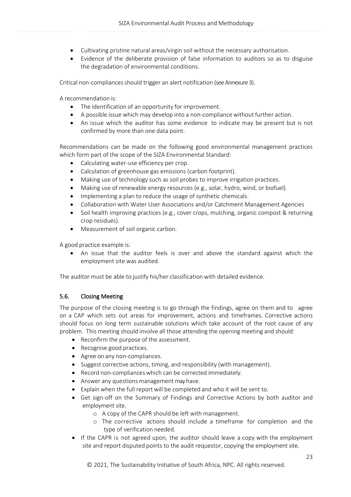- Cultivating pristine natural areas/virgin soil without the necessary authorisation.
- Evidence of the deliberate provision of false information to auditors so as to disguise the degradation of environmental conditions.

Critical non‐compliancesshould trigger an alert notification (see Annexure 3).

A recommendation is:

- The identification of an opportunity for improvement.
- A possible issue which may develop into a non-compliance without further action.
- An issue which the auditor has some evidence to indicate may be present but is not confirmed by more than one data point.

Recommendations can be made on the following good environmental management practices which form part of the scope of the SIZA Environmental Standard:

- Calculating water-use efficiency per crop.
- Calculation of greenhouse gas emissions (carbon footprint).
- Making use of technology such as soil probes to improve irrigation practices.
- Making use of renewable energy resources (e.g., solar, hydro, wind, or biofuel).
- Implementing a plan to reduce the usage of synthetic chemicals.
- Collaboration with Water User Associations and/or Catchment Management Agencies
- Soil health improving practices (e.g., cover crops, mulching, organic compost & returning crop residues).
- Measurement of soil organic carbon.

A good practice example is:

• An issue that the auditor feels is over and above the standard against which the employment site was audited.

The auditor must be able to justify his/her classification with detailed evidence.

# <span id="page-22-0"></span>5.6. Closing Meeting

The purpose of the closing meeting is to go through the findings, agree on them and to agree on a CAP which sets out areas for improvement, actions and timeframes. Corrective actions should focus on long term sustainable solutions which take account of the root cause of any problem. This meeting should involve all those attending the opening meeting and should:

- Reconfirm the purpose of the assessment.
- Recognise good practices.
- Agree on any non-compliances.
- Suggest corrective actions, timing, and responsibility (with management).
- Record non-compliances which can be corrected immediately.
- Answer any questions management may have.
- Explain when the full report will be completed and who it will be sent to.
- Get sign-off on the Summary of Findings and Corrective Actions by both auditor and employment site.
	- o A copy of the CAPR should be left with management.
	- o The corrective actions should include a timeframe for completion and the type of verification needed.
- If the CAPR is not agreed upon, the auditor should leave a copy with the employment site and report disputed points to the audit requestor, copying the employment site.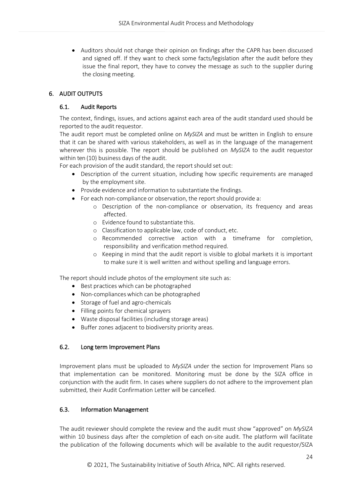• Auditors should not change their opinion on findings after the CAPR has been discussed and signed off. If they want to check some facts/legislation after the audit before they issue the final report, they have to convey the message as such to the supplier during the closing meeting.

# <span id="page-23-1"></span><span id="page-23-0"></span>6. AUDIT OUTPUTS

# 6.1. Audit Reports

The context, findings, issues, and actions against each area of the audit standard used should be reported to the audit requestor.

The audit report must be completed online on *MySIZA* and must be written in English to ensure that it can be shared with various stakeholders, as well as in the language of the management wherever this is possible. The report should be published on *MySIZA* to the audit requestor within ten (10) business days of the audit.

For each provision of the audit standard, the report should set out:

- Description of the current situation, including how specific requirements are managed by the employment site.
- Provide evidence and information to substantiate the findings.
- For each non‐compliance or observation, the report should provide a:
	- o Description of the non‐compliance or observation, its frequency and areas affected.
	- o Evidence found to substantiate this.
	- o Classification to applicable law, code of conduct, etc.
	- o Recommended corrective action with a timeframe for completion, responsibility and verification method required.
	- o Keeping in mind that the audit report is visible to global markets it is important to make sure it is well written and without spelling and language errors.

The report should include photos of the employment site such as:

- Best practices which can be photographed
- Non-compliances which can be photographed
- Storage of fuel and agro-chemicals
- Filling points for chemical sprayers
- Waste disposal facilities (including storage areas)
- Buffer zones adjacent to biodiversity priority areas.

# <span id="page-23-2"></span>6.2. Long term Improvement Plans

Improvement plans must be uploaded to *MySIZA* under the section for Improvement Plans so that implementation can be monitored. Monitoring must be done by the SIZA office in conjunction with the audit firm. In cases where suppliers do not adhere to the improvement plan submitted, their Audit Confirmation Letter will be cancelled.

# <span id="page-23-3"></span>6.3. Information Management

The audit reviewer should complete the review and the audit must show "approved" on *MySIZA* within 10 business days after the completion of each on-site audit. The platform will facilitate the publication of the following documents which will be available to the audit requestor/SIZA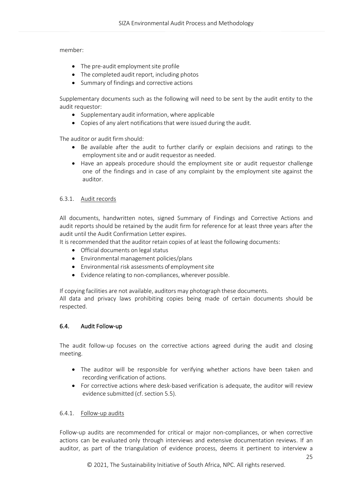member:

- The pre-audit employment site profile
- The completed audit report, including photos
- Summary of findings and corrective actions

Supplementary documents such as the following will need to be sent by the audit entity to the audit requestor:

- Supplementary audit information, where applicable
- Copies of any alert notifications that were issued during the audit.

The auditor or audit firm should:

- Be available after the audit to further clarify or explain decisions and ratings to the employment site and or audit requestor as needed.
- Have an appeals procedure should the employment site or audit requestor challenge one of the findings and in case of any complaint by the employment site against the auditor.

## <span id="page-24-0"></span>6.3.1. Audit records

All documents, handwritten notes, signed Summary of Findings and Corrective Actions and audit reports should be retained by the audit firm for reference for at least three years after the audit until the Audit Confirmation Letter expires.

It is recommended that the auditor retain copies of at least the following documents:

- Official documents on legal status
- Environmental management policies/plans
- Environmental risk assessments of employment site
- Evidence relating to non-compliances, wherever possible.

If copying facilities are not available, auditors may photograph these documents.

All data and privacy laws prohibiting copies being made of certain documents should be respected.

#### <span id="page-24-1"></span>6.4. Audit Follow‐up

The audit follow‐up focuses on the corrective actions agreed during the audit and closing meeting.

- The auditor will be responsible for verifying whether actions have been taken and recording verification of actions.
- For corrective actions where desk-based verification is adequate, the auditor will review evidence submitted (cf. section 5.5).

#### <span id="page-24-2"></span>6.4.1. Follow‐up audits

Follow-up audits are recommended for critical or major non-compliances, or when corrective actions can be evaluated only through interviews and extensive documentation reviews. If an auditor, as part of the triangulation of evidence process, deems it pertinent to interview a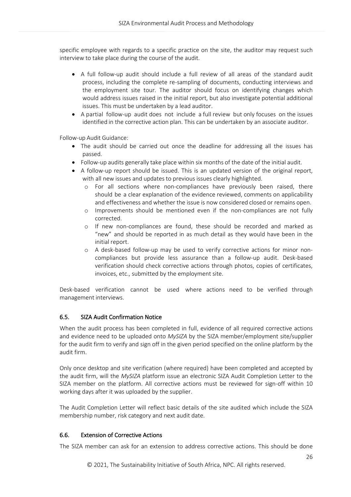specific employee with regards to a specific practice on the site, the auditor may request such interview to take place during the course of the audit.

- A full follow‐up audit should include a full review of all areas of the standard audit process, including the complete re‐sampling of documents, conducting interviews and the employment site tour. The auditor should focus on identifying changes which would address issues raised in the initial report, but also investigate potential additional issues. This must be undertaken by a lead auditor.
- A partial follow‐up audit does not include a full review but only focuses on the issues identified in the corrective action plan. This can be undertaken by an associate auditor.

Follow‐up Audit Guidance:

- The audit should be carried out once the deadline for addressing all the issues has passed.
- Follow-up audits generally take place within six months of the date of the initial audit.
- A follow-up report should be issued. This is an updated version of the original report, with all new issues and updates to previous issues clearly highlighted.
	- o For all sections where non‐compliances have previously been raised, there should be a clear explanation of the evidence reviewed, comments on applicability and effectiveness and whether the issue is now considered closed or remains open.
	- o Improvements should be mentioned even if the non‐compliances are not fully corrected.
	- o If new non‐compliances are found, these should be recorded and marked as "new" and should be reported in as much detail as they would have been in the initial report.
	- o A desk-based follow-up may be used to verify corrective actions for minor noncompliances but provide less assurance than a follow-up audit. Desk-based verification should check corrective actions through photos, copies of certificates, invoices, etc., submitted by the employment site.

Desk-based verification cannot be used where actions need to be verified through management interviews.

# <span id="page-25-0"></span>6.5. SIZA Audit Confirmation Notice

When the audit process has been completed in full, evidence of all required corrective actions and evidence need to be uploaded onto *MySIZA* by the SIZA member/employment site/supplier for the audit firm to verify and sign off in the given period specified on the online platform by the audit firm.

Only once desktop and site verification (where required) have been completed and accepted by the audit firm, will the *MySIZA* platform issue an electronic SIZA Audit Completion Letter to the SIZA member on the platform. All corrective actions must be reviewed for sign-off within 10 working days after it was uploaded by the supplier.

The Audit Completion Letter will reflect basic details of the site audited which include the SIZA membership number, risk category and next audit date.

# <span id="page-25-1"></span>6.6. Extension of Corrective Actions

The SIZA member can ask for an extension to address corrective actions. This should be done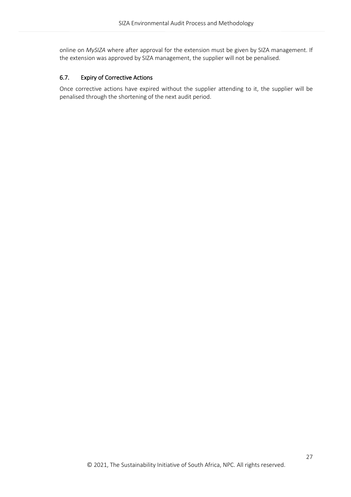online on *MySIZA* where after approval for the extension must be given by SIZA management. If the extension was approved by SIZA management, the supplier will not be penalised.

## <span id="page-26-0"></span>6.7. Expiry of Corrective Actions

Once corrective actions have expired without the supplier attending to it, the supplier will be penalised through the shortening of the next audit period.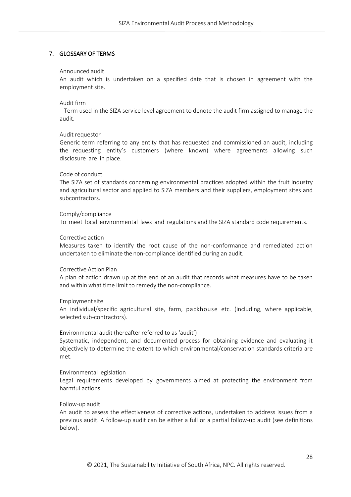## <span id="page-27-0"></span>7. GLOSSARY OF TERMS

#### Announced audit

An audit which is undertaken on a specified date that is chosen in agreement with the employment site.

#### Audit firm

 Term used in the SIZA service level agreement to denote the audit firm assigned to manage the audit.

#### Audit requestor

Generic term referring to any entity that has requested and commissioned an audit, including the requesting entity's customers (where known) where agreements allowing such disclosure are in place.

#### Code of conduct

The SIZA set of standards concerning environmental practices adopted within the fruit industry and agricultural sector and applied to SIZA members and their suppliers, employment sites and subcontractors.

#### Comply/compliance

To meet local environmental laws and regulations and the SIZA standard code requirements.

#### Corrective action

Measures taken to identify the root cause of the non-conformance and remediated action undertaken to eliminate the non‐compliance identified during an audit.

#### Corrective Action Plan

A plan of action drawn up at the end of an audit that records what measures have to be taken and within what time limit to remedy the non-compliance.

#### Employmentsite

An individual/specific agricultural site, farm, packhouse etc. (including, where applicable, selected sub‐contractors).

#### Environmental audit (hereafter referred to as 'audit')

Systematic, independent, and documented process for obtaining evidence and evaluating it objectively to determine the extent to which environmental/conservation standards criteria are met.

#### Environmental legislation

Legal requirements developed by governments aimed at protecting the environment from harmful actions.

#### Follow‐up audit

An audit to assess the effectiveness of corrective actions, undertaken to address issues from a previous audit. A follow‐up audit can be either a full or a partial follow‐up audit (see definitions below).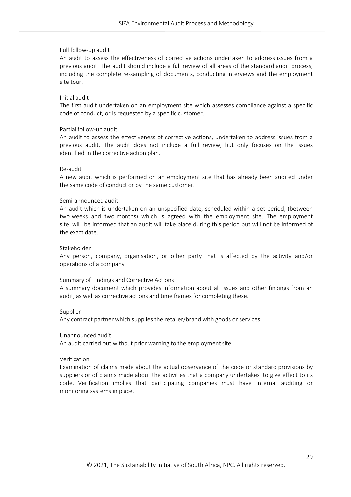#### Full follow‐up audit

An audit to assess the effectiveness of corrective actions undertaken to address issues from a previous audit. The audit should include a full review of all areas of the standard audit process, including the complete re‐sampling of documents, conducting interviews and the employment site tour.

#### Initial audit

The first audit undertaken on an employment site which assesses compliance against a specific code of conduct, or is requested by a specific customer.

#### Partial follow‐up audit

An audit to assess the effectiveness of corrective actions, undertaken to address issues from a previous audit. The audit does not include a full review, but only focuses on the issues identified in the corrective action plan.

#### Re‐audit

A new audit which is performed on an employment site that has already been audited under the same code of conduct or by the same customer.

#### Semi‐announced audit

An audit which is undertaken on an unspecified date, scheduled within a set period, (between two weeks and two months) which is agreed with the employment site. The employment site will be informed that an audit will take place during this period but will not be informed of the exact date.

#### Stakeholder

Any person, company, organisation, or other party that is affected by the activity and/or operations of a company.

#### Summary of Findings and Corrective Actions

A summary document which provides information about all issues and other findings from an audit, as well as corrective actions and time frames for completing these.

#### Supplier

Any contract partner which supplies the retailer/brand with goods or services.

#### Unannounced audit

An audit carried out without prior warning to the employment site.

#### Verification

Examination of claims made about the actual observance of the code or standard provisions by suppliers or of claims made about the activities that a company undertakes to give effect to its code. Verification implies that participating companies must have internal auditing or monitoring systems in place.